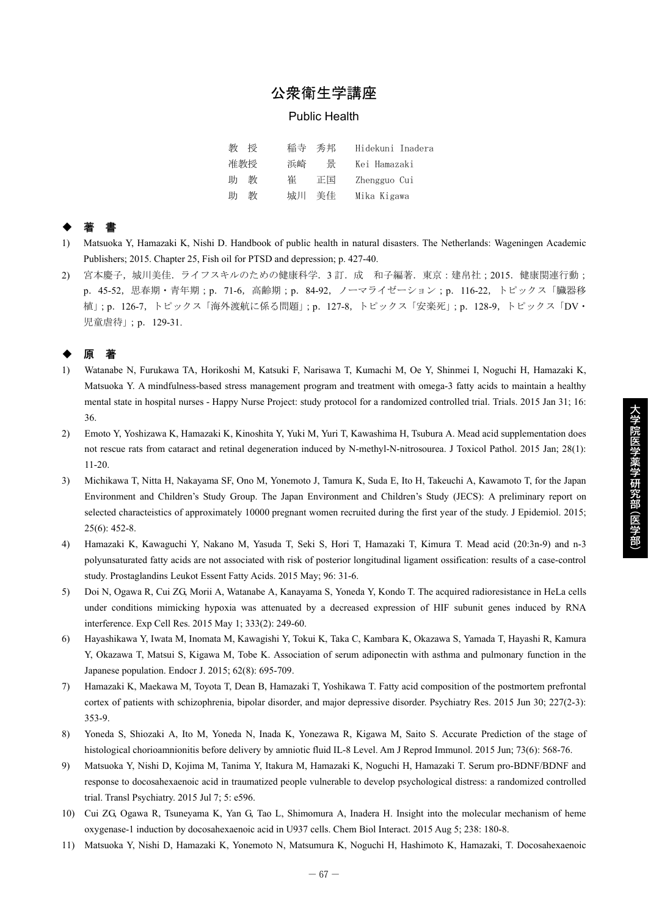# 公衆衛生学講座

### Public Health

| 教   | 授 | 稲寺 秀邦 |    | Hidekuni Inadera |
|-----|---|-------|----|------------------|
| 准教授 |   | 浜崎    | 봂  | Kei Hamazaki     |
| 助   | 教 | 崔     | 正国 | Zhengguo Cui     |
| 助   | 教 | 城川    | 美佳 | Mika Kigawa      |

## ◆ 著 書

- 1) Matsuoka Y, Hamazaki K, Nishi D. Handbook of public health in natural disasters. The Netherlands: Wageningen Academic Publishers; 2015. Chapter 25, Fish oil for PTSD and depression; p. 427-40.
- 2) 宮本慶子,城川美佳.ライフスキルのための健康科学.3 訂.成 和子編著.東京:建帛社;2015.健康関連行動; p. 45-52, 思春期・青年期;p. 71-6, 高齢期;p. 84-92, ノーマライゼーション;p. 116-22, トピックス「臓器移 植」;p.126-7,トピックス「海外渡航に係る問題」;p.127-8,トピックス「安楽死」;p.128-9,トピックス「DV・ 児童虐待」;p.129-31.

## ◆ 原 著

- 1) Watanabe N, Furukawa TA, Horikoshi M, Katsuki F, Narisawa T, Kumachi M, Oe Y, Shinmei I, Noguchi H, Hamazaki K, Matsuoka Y. A mindfulness-based stress management program and treatment with omega-3 fatty acids to maintain a healthy mental state in hospital nurses - Happy Nurse Project: study protocol for a randomized controlled trial. Trials. 2015 Jan 31; 16: 36.
- 2) Emoto Y, Yoshizawa K, Hamazaki K, Kinoshita Y, Yuki M, Yuri T, Kawashima H, Tsubura A. Mead acid supplementation does not rescue rats from cataract and retinal degeneration induced by N-methyl-N-nitrosourea. J Toxicol Pathol. 2015 Jan; 28(1): 11-20.
- 3) Michikawa T, Nitta H, Nakayama SF, Ono M, Yonemoto J, Tamura K, Suda E, Ito H, Takeuchi A, Kawamoto T, for the Japan Environment and Children's Study Group. The Japan Environment and Children's Study (JECS): A preliminary report on selected characteistics of approximately 10000 pregnant women recruited during the first year of the study. J Epidemiol. 2015; 25(6): 452-8.

大学院医学薬学研究部(医学部)

- 4) Hamazaki K, Kawaguchi Y, Nakano M, Yasuda T, Seki S, Hori T, Hamazaki T, Kimura T. Mead acid (20:3n-9) and n-3 polyunsaturated fatty acids are not associated with risk of posterior longitudinal ligament ossification: results of a case-control study. Prostaglandins Leukot Essent Fatty Acids. 2015 May; 96: 31-6.
- 5) Doi N, Ogawa R, Cui ZG, Morii A, Watanabe A, Kanayama S, Yoneda Y, Kondo T. The acquired radioresistance in HeLa cells under conditions mimicking hypoxia was attenuated by a decreased expression of HIF subunit genes induced by RNA interference. Exp Cell Res. 2015 May 1; 333(2): 249-60.
- 6) Hayashikawa Y, Iwata M, Inomata M, Kawagishi Y, Tokui K, Taka C, Kambara K, Okazawa S, Yamada T, Hayashi R, Kamura Y, Okazawa T, Matsui S, Kigawa M, Tobe K. Association of serum adiponectin with asthma and pulmonary function in the Japanese population. Endocr J. 2015; 62(8): 695-709.
- 7) Hamazaki K, Maekawa M, Toyota T, Dean B, Hamazaki T, Yoshikawa T. Fatty acid composition of the postmortem prefrontal cortex of patients with schizophrenia, bipolar disorder, and major depressive disorder. Psychiatry Res. 2015 Jun 30; 227(2-3): 353-9.
- 8) Yoneda S, Shiozaki A, Ito M, Yoneda N, Inada K, Yonezawa R, Kigawa M, Saito S. Accurate Prediction of the stage of histological chorioamnionitis before delivery by amniotic fluid IL-8 Level. Am J Reprod Immunol. 2015 Jun; 73(6): 568-76.
- 9) Matsuoka Y, Nishi D, Kojima M, Tanima Y, Itakura M, Hamazaki K, Noguchi H, Hamazaki T. Serum pro-BDNF/BDNF and response to docosahexaenoic acid in traumatized people vulnerable to develop psychological distress: a randomized controlled trial. Transl Psychiatry. 2015 Jul 7; 5: e596.
- 10) Cui ZG, Ogawa R, Tsuneyama K, Yan G, Tao L, Shimomura A, Inadera H. Insight into the molecular mechanism of heme oxygenase-1 induction by docosahexaenoic acid in U937 cells. Chem Biol Interact. 2015 Aug 5; 238: 180-8.
- 11) Matsuoka Y, Nishi D, Hamazaki K, Yonemoto N, Matsumura K, Noguchi H, Hashimoto K, Hamazaki, T. Docosahexaenoic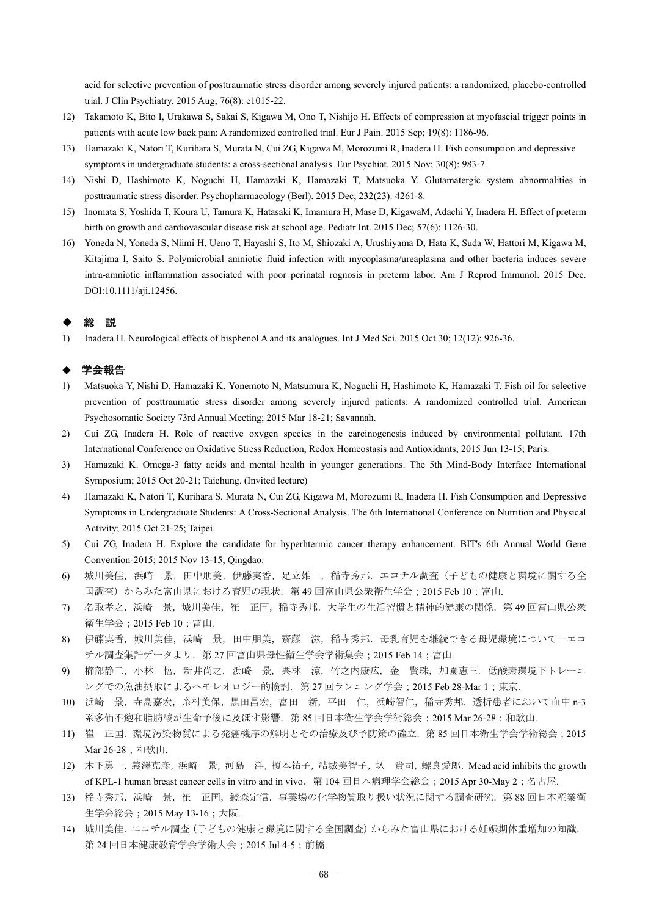acid for selective prevention of posttraumatic stress disorder among severely injured patients: a randomized, placebo-controlled trial. J Clin Psychiatry. 2015 Aug; 76(8): e1015-22.

- 12) Takamoto K, Bito I, Urakawa S, Sakai S, Kigawa M, Ono T, Nishijo H. Effects of compression at myofascial trigger points in patients with acute low back pain: A randomized controlled trial. Eur J Pain. 2015 Sep; 19(8): 1186-96.
- 13) Hamazaki K, Natori T, Kurihara S, Murata N, Cui ZG, Kigawa M, Morozumi R, Inadera H. Fish consumption and depressive symptoms in undergraduate students: a cross-sectional analysis. Eur Psychiat. 2015 Nov; 30(8): 983-7.
- 14) Nishi D, Hashimoto K, Noguchi H, Hamazaki K, Hamazaki T, Matsuoka Y. Glutamatergic system abnormalities in posttraumatic stress disorder. Psychopharmacology (Berl). 2015 Dec; 232(23): 4261-8.
- 15) Inomata S, Yoshida T, Koura U, Tamura K, Hatasaki K, Imamura H, Mase D, KigawaM, Adachi Y, Inadera H. Effect of preterm birth on growth and cardiovascular disease risk at school age. Pediatr Int. 2015 Dec; 57(6): 1126-30.
- 16) Yoneda N, Yoneda S, Niimi H, Ueno T, Hayashi S, Ito M, Shiozaki A, Urushiyama D, Hata K, Suda W, Hattori M, Kigawa M, Kitajima I, Saito S. Polymicrobial amniotic fluid infection with mycoplasma/ureaplasma and other bacteria induces severe intra-amniotic inflammation associated with poor perinatal rognosis in preterm labor. Am J Reprod Immunol. 2015 Dec. DOI:10.1111/aji.12456.

## ・設定

1) Inadera H. Neurological effects of bisphenol A and its analogues. Int J Med Sci. 2015 Oct 30; 12(12): 926-36.

## 学会報告

- 1) Matsuoka Y, Nishi D, Hamazaki K, Yonemoto N, Matsumura K, Noguchi H, Hashimoto K, Hamazaki T. Fish oil for selective prevention of posttraumatic stress disorder among severely injured patients: A randomized controlled trial. American Psychosomatic Society 73rd Annual Meeting; 2015 Mar 18-21; Savannah.
- 2) Cui ZG, Inadera H. Role of reactive oxygen species in the carcinogenesis induced by environmental pollutant. 17th International Conference on Oxidative Stress Reduction, Redox Homeostasis and Antioxidants; 2015 Jun 13-15; Paris.
- 3) Hamazaki K. Omega-3 fatty acids and mental health in younger generations. The 5th Mind-Body Interface International Symposium; 2015 Oct 20-21; Taichung. (Invited lecture)
- 4) Hamazaki K, Natori T, Kurihara S, Murata N, Cui ZG, Kigawa M, Morozumi R, Inadera H. Fish Consumption and Depressive Symptoms in Undergraduate Students: A Cross-Sectional Analysis. The 6th International Conference on Nutrition and Physical Activity; 2015 Oct 21-25; Taipei.
- 5) Cui ZG, Inadera H. Explore the candidate for hyperhtermic cancer therapy enhancement. BIT's 6th Annual World Gene Convention-2015; 2015 Nov 13-15; Qingdao.
- 6) 城川美佳,浜崎 景,田中朋美,伊藤実香,足立雄一,稲寺秀邦.エコチル調査(子どもの健康と環境に関する全 国調査)からみた富山県における育児の現状.第 49 回富山県公衆衛生学会;2015 Feb 10;富山.
- 7) 名取孝之,浜崎 景,城川美佳,崔 正国,稲寺秀邦.大学生の生活習慣と精神的健康の関係.第 49 回富山県公衆 衛生学会;2015 Feb 10;富山.
- 8) 伊藤実香,城川美佳,浜崎 景,田中朋美,齋藤 滋,稲寺秀邦.母乳育児を継続できる母児環境についてーエコ チル調査集計データより.第 27 回富山県母性衛生学会学術集会;2015 Feb 14;富山.
- 9) 櫛部静二, 小林 悟, 新井尚之, 浜崎 景, 栗林 涼, 竹之内康広, 金 賢珠, 加園恵三. 低酸素環境下トレーニ ングでの魚油摂取によるヘモレオロジー的検討. 第 27 回ランニング学会;2015 Feb 28-Mar 1;東京.
- 10) 浜崎 景,寺島嘉宏,糸村美保,黒田昌宏,富田 新,平田 仁,浜崎智仁,稲寺秀邦.透析患者において血中 n-3 系多価不飽和脂肪酸が生命予後に及ぼす影響. 第 85 回日本衛生学会学術総会; 2015 Mar 26-28;和歌山.
- 11) 崔 正国.環境汚染物質による発癌機序の解明とその治療及び予防策の確立.第 85 回日本衛生学会学術総会;2015 Mar 26-28; 和歌山.
- 12) 木下勇一,義澤克彦,浜崎 景,河島 洋,榎本祐子,結城美智子,圦 貴司,螺良愛郎. Mead acid inhibits the growth of KPL-1 human breast cancer cells in vitro and in vivo.第 104 回日本病理学会総会;2015 Apr 30-May 2;名古屋.
- 13) 稲寺秀邦,浜崎 景,崔 正国,鏡森定信.事業場の化学物質取り扱い状況に関する調査研究.第 88 回日本産業衛 生学会総会;2015 May 13-16;大阪.
- 14) 城川美佳.エコチル調査(子どもの健康と環境に関する全国調査)からみた富山県における妊娠期体重増加の知識. 第 24 回日本健康教育学会学術大会;2015 Jul 4-5;前橋.